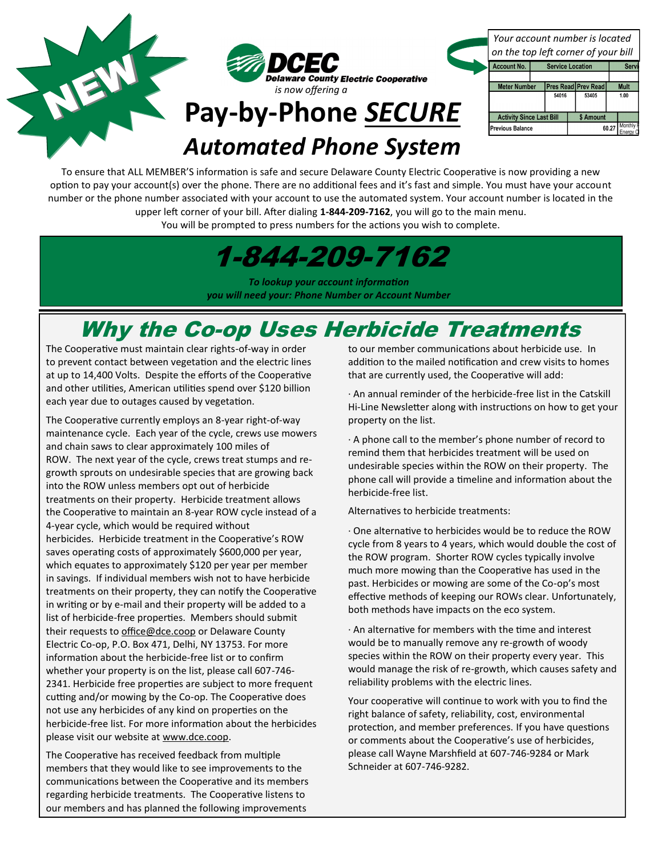## **Pay-by-Phone** *SECURE Automated Phone System*

**County Electric Cooperative** 

*is now offering a* 

*Your account number is located on the top left corner of your bill*

| <b>Account No.</b>              | <b>Service Location</b> |  |                            | Ser           |  |
|---------------------------------|-------------------------|--|----------------------------|---------------|--|
|                                 |                         |  |                            |               |  |
| <b>Meter Number</b>             |                         |  | <b>Pres Read Prev Read</b> | <b>Mult</b>   |  |
|                                 | 54016                   |  | 53405                      | 1.00          |  |
|                                 |                         |  |                            |               |  |
| <b>Activity Since Last Bill</b> |                         |  | \$ Amount                  |               |  |
| <b>Previous Balance</b>         |                         |  |                            | 60.27 Monthly |  |

## To ensure that ALL MEMBER'S information is safe and secure Delaware County Electric Cooperative is now providing a new option to pay your account(s) over the phone. There are no additional fees and it's fast and simple. You must have your account number or the phone number associated with your account to use the automated system. Your account number is located in the upper left corner of your bill. After dialing **1-844-209-7162**, you will go to the main menu.

You will be prompted to press numbers for the actions you wish to complete.

1-844-209-7162

*To lookup your account information you will need your: Phone Number or Account Number*

## Why the Co-op Uses Herbicide Treatments

The Cooperative must maintain clear rights-of-way in order to prevent contact between vegetation and the electric lines at up to 14,400 Volts. Despite the efforts of the Cooperative and other utilities, American utilities spend over \$120 billion each year due to outages caused by vegetation.

NEW

The Cooperative currently employs an 8-year right-of-way maintenance cycle. Each year of the cycle, crews use mowers and chain saws to clear approximately 100 miles of ROW. The next year of the cycle, crews treat stumps and regrowth sprouts on undesirable species that are growing back into the ROW unless members opt out of herbicide treatments on their property. Herbicide treatment allows the Cooperative to maintain an 8-year ROW cycle instead of a 4-year cycle, which would be required without herbicides. Herbicide treatment in the Cooperative's ROW saves operating costs of approximately \$600,000 per year, which equates to approximately \$120 per year per member in savings. If individual members wish not to have herbicide treatments on their property, they can notify the Cooperative in writing or by e-mail and their property will be added to a list of herbicide-free properties. Members should submit their requests to [office@dce.coop](mailto:office@dce.coop) or Delaware County Electric Co-op, P.O. Box 471, Delhi, NY 13753. For more information about the herbicide-free list or to confirm whether your property is on the list, please call 607-746- 2341. Herbicide free properties are subject to more frequent cutting and/or mowing by the Co-op. The Cooperative does not use any herbicides of any kind on properties on the herbicide-free list. For more information about the herbicides please visit our website at www.dce.coop.

The Cooperative has received feedback from multiple members that they would like to see improvements to the communications between the Cooperative and its members regarding herbicide treatments. The Cooperative listens to our members and has planned the following improvements

to our member communications about herbicide use. In addition to the mailed notification and crew visits to homes that are currently used, the Cooperative will add:

· An annual reminder of the herbicide-free list in the Catskill Hi-Line Newsletter along with instructions on how to get your property on the list.

· A phone call to the member's phone number of record to remind them that herbicides treatment will be used on undesirable species within the ROW on their property. The phone call will provide a timeline and information about the herbicide-free list.

Alternatives to herbicide treatments:

· One alternative to herbicides would be to reduce the ROW cycle from 8 years to 4 years, which would double the cost of the ROW program. Shorter ROW cycles typically involve much more mowing than the Cooperative has used in the past. Herbicides or mowing are some of the Co-op's most effective methods of keeping our ROWs clear. Unfortunately, both methods have impacts on the eco system.

· An alternative for members with the time and interest would be to manually remove any re-growth of woody species within the ROW on their property every year. This would manage the risk of re-growth, which causes safety and reliability problems with the electric lines.

Your cooperative will continue to work with you to find the right balance of safety, reliability, cost, environmental protection, and member preferences. If you have questions or comments about the Cooperative's use of herbicides, please call Wayne Marshfield at 607-746-9284 or Mark Schneider at 607-746-9282.